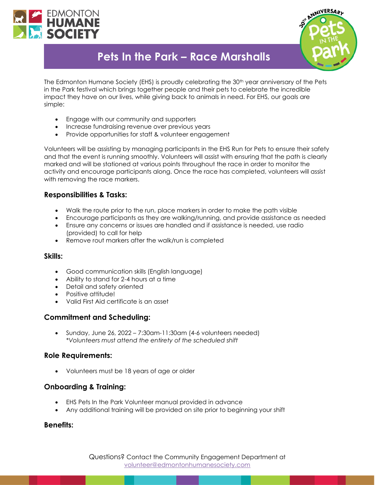



# **Pets In the Park – Race Marshalls**

The Edmonton Humane Society (EHS) is proudly celebrating the 30<sup>th</sup> year anniversary of the Pets in the Park festival which brings together people and their pets to celebrate the incredible impact they have on our lives, while giving back to animals in need. For EHS, our goals are simple:

- Engage with our community and supporters
- Increase fundraising revenue over previous years
- Provide opportunities for staff & volunteer engagement

Volunteers will be assisting by managing participants in the EHS Run for Pets to ensure their safety and that the event is running smoothly. Volunteers will assist with ensuring that the path is clearly marked and will be stationed at various points throughout the race in order to monitor the activity and encourage participants along. Once the race has completed, volunteers will assist with removing the race markers.

## **Responsibilities & Tasks:**

- Walk the route prior to the run, place markers in order to make the path visible
- Encourage participants as they are walking/running, and provide assistance as needed
- Ensure any concerns or issues are handled and if assistance is needed, use radio (provided) to call for help
- Remove rout markers after the walk/run is completed

#### **Skills:**

- Good communication skills (English language)
- Ability to stand for 2-4 hours at a time
- Detail and safety oriented
- Positive attitude!
- Valid First Aid certificate is an asset

## **Commitment and Scheduling:**

• Sunday, June 26, 2022 – 7:30am-11:30am (4-6 volunteers needed) *\*Volunteers must attend the entirety of the scheduled shift*

#### **Role Requirements:**

• Volunteers must be 18 years of age or older

## **Onboarding & Training:**

- EHS Pets In the Park Volunteer manual provided in advance
- Any additional training will be provided on site prior to beginning your shift

#### **Benefits:**

Questions? Contact the Community Engagement Department at [volunteer@edmontonhumanesociety.com](mailto:volunteer@edmontonhumanesociety.com)